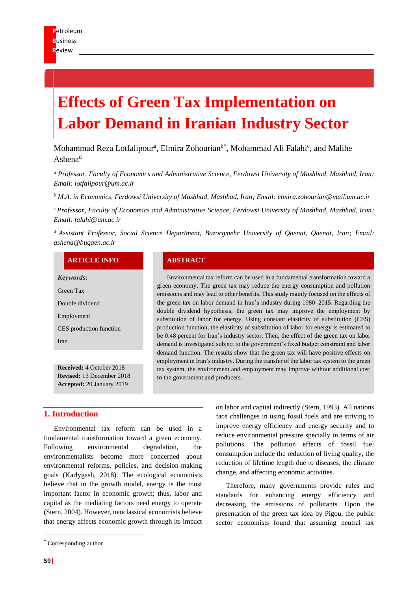# **Effects of Green Tax Implementation on Labor Demand in Iranian Industry Sector**

Mohammad Reza Lotfalipour<sup>a</sup>, Elmira Zohourian<sup>b\*</sup>, Mohammad Ali Falahi<sup>c</sup>, and Malihe  $A$ shena<sup>d</sup>

*<sup>a</sup> Professor, Faculty of Economics and Administrative Science, Ferdowsi University of Mashhad, Mashhad, Iran; Email: lotfalipour@um.ac.ir*

*<sup>b</sup> M.A. in Economics, Ferdowsi University of Mashhad, Mashhad, Iran; Email: [elmira.zohourian@mail.um.ac.ir](javascript:top.$WC.parent.openWin()*

*<sup>c</sup>Professor, Faculty of Economics and Administrative Science, Ferdowsi University of Mashhad, Mashhad, Iran; Email: [falahi@um.ac.ir](mailto:falahi@um.ac.ir)*

*<sup>d</sup>Assistant Professor, Social Science Department, Bozorgmehr University of Qaenat, Qaenat, Iran; Email: [ashena@buqaen.ac.ir](javascript:top.$WC.parent.openWin()*

#### **ARTICLE INFO ABSTRACT**

*Keywords:*

Green Tax

Double dividend

Employment

CES production function Iran

**Received:** 4 October 2018 **Revised:** 13 December 2018 **Accepted:** 20 January 2019

Environmental tax reform can be used in a fundamental transformation toward a green economy. The green tax may reduce the energy consumption and pollution emissions and may lead to other benefits. This study mainly focused on the effects of the green tax on labor demand in Iran's industry during 1980–2015. Regarding the double dividend hypothesis, the green tax may improve the employment by substitution of labor for energy. Using constant elasticity of substitution (CES) production function, the elasticity of substitution of labor for energy is estimated to be 0.48 percent for Iran's industry sector. Then, the effect of the green tax on labor demand is investigated subject to the government's fixed budget constraint and labor demand function. The results show that the green tax will have positive effects on employment in Iran's industry. During the transfer of the labor tax system to the green tax system, the environment and employment may improve without additional cost to the government and producers.

## **1. Introduction**

Environmental tax reform can be used in a fundamental transformation toward a green economy. Following environmental degradation, the environmentalists become more concerned about environmental reforms, policies, and decision-making goals (Karlygash, 2018). The ecological economists believe that in the growth model, energy is the most important factor in economic growth; thus, labor and capital as the mediating factors need energy to operate (Stern, 2004). However, neoclassical economists believe that energy affects economic growth through its impact

on labor and capital indirectly (Stern, 1993). All nations face challenges in using fossil fuels and are striving to improve energy efficiency and energy security and to reduce environmental pressure specially in terms of air pollutions. The pollution effects of fossil fuel consumption include the reduction of living quality, the reduction of lifetime length due to diseases, the climate change, and affecting economic activities.

Therefore, many governments provide rules and standards for enhancing energy efficiency and decreasing the emissions of pollutants. Upon the presentation of the green tax idea by Pigou, the public sector economists found that assuming neutral tax

<sup>\*</sup> Corresponding author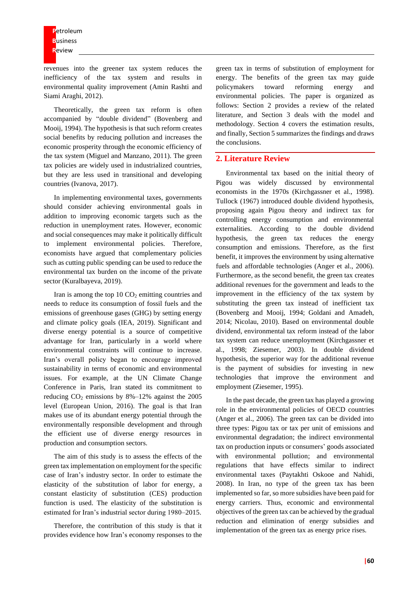revenues into the greener tax system reduces the inefficiency of the tax system and results in environmental quality improvement (Amin Rashti and Siami Araghi, 2012).

Theoretically, the green tax reform is often accompanied by "double dividend" (Bovenberg and Mooij, 1994). The hypothesis is that such reform creates social benefits by reducing pollution and increases the economic prosperity through the economic efficiency of the tax system (Miguel and Manzano, 2011). The green tax policies are widely used in industrialized countries, but they are less used in transitional and developing countries (Ivanova, 2017).

In implementing environmental taxes, governments should consider achieving environmental goals in addition to improving economic targets such as the reduction in unemployment rates. However, economic and social consequences may make it politically difficult to implement environmental policies. Therefore, economists have argued that complementary policies such as cutting public spending can be used to reduce the environmental tax burden on the income of the private sector (Kuralbayeva, 2019).

Iran is among the top  $10 \text{ CO}_2$  emitting countries and needs to reduce its consumption of fossil fuels and the emissions of greenhouse gases (GHG) by setting energy and climate policy goals (IEA, 2019). Significant and diverse energy potential is a source of competitive advantage for Iran, particularly in a world where environmental constraints will continue to increase. Iran's overall policy began to encourage improved sustainability in terms of economic and environmental issues. For example, at the UN Climate Change Conference in Paris, Iran stated its commitment to reducing  $CO<sub>2</sub>$  emissions by 8%–12% against the 2005 level (European Union, 2016). The goal is that Iran makes use of its abundant energy potential through the environmentally responsible development and through the efficient use of diverse energy resources in production and consumption sectors.

The aim of this study is to assess the effects of the green tax implementation on employment for the specific case of Iran's industry sector. In order to estimate the elasticity of the substitution of labor for energy, a constant elasticity of substitution (CES) production function is used. The elasticity of the substitution is estimated for Iran's industrial sector during 1980–2015.

Therefore, the contribution of this study is that it provides evidence how Iran's economy responses to the

green tax in terms of substitution of employment for energy. The benefits of the green tax may guide policymakers toward reforming energy and environmental policies. The paper is organized as follows: Section 2 provides a review of the related literature, and Section 3 deals with the model and methodology. Section 4 covers the estimation results, and finally, Section 5 summarizes the findings and draws the conclusions.

### **2. Literature Review**

Environmental tax based on the initial theory of Pigou was widely discussed by environmental economists in the 1970s (Kirchgassner et al., 1998). Tullock (1967) introduced double dividend hypothesis, proposing again Pigou theory and indirect tax for controlling energy consumption and environmental externalities. According to the double dividend hypothesis, the green tax reduces the energy consumption and emissions. Therefore, as the first benefit, it improves the environment by using alternative fuels and affordable technologies (Anger et al., 2006). Furthermore, as the second benefit, the green tax creates additional revenues for the government and leads to the improvement in the efficiency of the tax system by substituting the green tax instead of inefficient tax (Bovenberg and Mooij, 1994; Goldani and Amadeh, 2014; Nicolau, 2010). Based on environmental double dividend, environmental tax reform instead of the labor tax system can reduce unemployment (Kirchgassner et al., 1998; Ziesemer, 2003). In double dividend hypothesis, the superior way for the additional revenue is the payment of subsidies for investing in new technologies that improve the environment and employment (Ziesemer, 1995).

In the past decade, the green tax has played a growing role in the environmental policies of OECD countries (Anger et al., 2006). The green tax can be divided into three types: Pigou tax or tax per unit of emissions and environmental degradation; the indirect environmental tax on production inputs or consumers' goods associated with environmental pollution; and environmental regulations that have effects similar to indirect environmental taxes (Paytakhti Oskooe and Nahidi, 2008). In Iran, no type of the green tax has been implemented so far, so more subsidies have been paid for energy carriers. Thus, economic and environmental objectives of the green tax can be achieved by the gradual reduction and elimination of energy subsidies and implementation of the green tax as energy price rises.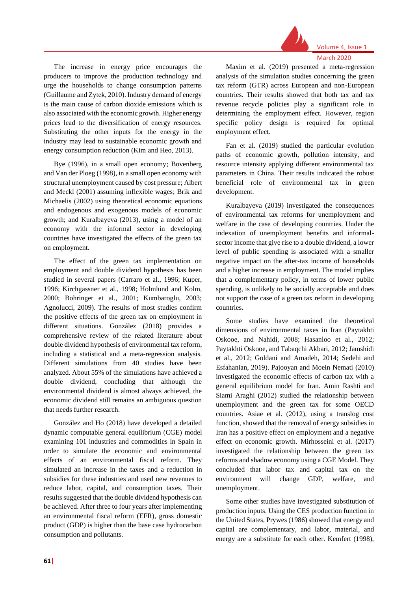

The increase in energy price encourages the producers to improve the production technology and urge the households to change consumption patterns (Guillaume and Zytek, 2010). Industry demand of energy is the main cause of carbon dioxide emissions which is also associated with the economic growth. Higher energy prices lead to the diversification of energy resources. Substituting the other inputs for the energy in the industry may lead to sustainable economic growth and energy consumption reduction (Kim and Heo, 2013).

Bye (1996), in a small open economy; Bovenberg and Van der Ploeg (1998), in a small open economy with structural unemployment caused by cost pressure; Albert and Meckl (2001) assuming inflexible wages; Brik and Michaelis (2002) using theoretical economic equations and endogenous and exogenous models of economic growth; and Kuralbayeva (2013), using a model of an economy with the informal sector in developing countries have investigated the effects of the green tax on employment.

The effect of the green tax implementation on employment and double dividend hypothesis has been studied in several papers (Carraro et al., 1996; Kuper, 1996; Kirchgassner et al., 1998; Holmlund and Kolm, 2000; Bohringer et al., 2001; Kumbaroglu, 2003; Agnolucci, 2009). The results of most studies confirm the positive effects of the green tax on employment in different situations. González (2018) provides a comprehensive review of the related literature about double dividend hypothesis of environmental tax reform, including a statistical and a meta-regression analysis. Different simulations from 40 studies have been analyzed. About 55% of the simulations have achieved a double dividend, concluding that although the environmental dividend is almost always achieved, the economic dividend still remains an ambiguous question that needs further research.

González and Ho (2018) have developed a detailed dynamic computable general equilibrium (CGE) model examining 101 industries and commodities in Spain in order to simulate the economic and environmental effects of an environmental fiscal reform. They simulated an increase in the taxes and a reduction in subsidies for these industries and used new revenues to reduce labor, capital, and consumption taxes. Their results suggested that the double dividend hypothesis can be achieved. After three to four years after implementing an environmental fiscal reform (EFR), gross domestic product (GDP) is higher than the base case hydrocarbon consumption and pollutants.

Maxim et al. (2019) presented a meta-regression analysis of the simulation studies concerning the green tax reform (GTR) across European and non-European countries. Their results showed that both tax and tax revenue recycle policies play a significant role in determining the employment effect. However, region specific policy design is required for optimal employment effect.

Fan et al. (2019) studied the particular evolution paths of economic growth, pollution intensity, and resource intensity applying different environmental tax parameters in China. Their results indicated the robust beneficial role of environmental tax in green development.

Kuralbayeva (2019) investigated the consequences of environmental tax reforms for unemployment and welfare in the case of developing countries. Under the indexation of unemployment benefits and informalsector income that give rise to a double dividend, a lower level of public spending is associated with a smaller negative impact on the after-tax income of households and a higher increase in employment. The model implies that a complementary policy, in terms of lower public spending, is unlikely to be socially acceptable and does not support the case of a green tax reform in developing countries.

Some studies have examined the theoretical dimensions of environmental taxes in Iran (Paytakhti Oskooe, and Nahidi, 2008; Hasanloo et al., 2012; Paytakhti Oskooe, and Tabaqchi Akbari, 2012; Jamshidi et al., 2012; Goldani and Amadeh, 2014; Sedehi and Esfahanian, 2019). Pajooyan and Moein Nemati (2010) investigated the economic effects of carbon tax with a general equilibrium model for Iran. Amin Rashti and Siami Araghi (2012) studied the relationship between unemployment and the green tax for some OECD countries. Asiae et al. (2012), using a translog cost function, showed that the removal of energy subsidies in Iran has a positive effect on employment and a negative effect on economic growth. Mirhosseini et al. (2017) investigated the relationship between the green tax reforms and shadow economy using a CGE Model. They concluded that labor tax and capital tax on the environment will change GDP, welfare, and unemployment.

Some other studies have investigated substitution of production inputs. Using the CES production function in the United States, Prywes (1986) showed that energy and capital are complementary, and labor, material, and energy are a substitute for each other. Kemfert (1998),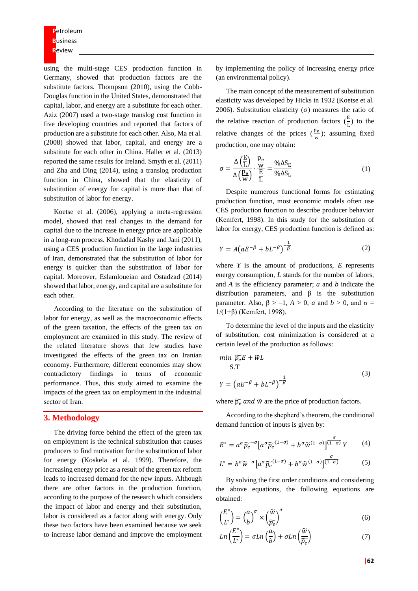**P**etroleum **B**usiness **R**eview

using the multi-stage CES production function in Germany, showed that production factors are the substitute factors. Thompson (2010), using the Cobb-Douglas function in the United States, demonstrated that capital, labor, and energy are a substitute for each other. Aziz (2007) used a two-stage translog cost function in five developing countries and reported that factors of production are a substitute for each other. Also, Ma et al. (2008) showed that labor, capital, and energy are a substitute for each other in China. Haller et al. (2013) reported the same results for Ireland. Smyth et al. (2011) and Zha and Ding (2014), using a translog production function in China, showed that the elasticity of substitution of energy for capital is more than that of substitution of labor for energy.

Koetse et al. (2006), applying a meta-regression model, showed that real changes in the demand for capital due to the increase in energy price are applicable in a long-run process. Khodadad Kashy and Jani (2011), using a CES production function in the large industries of Iran, demonstrated that the substitution of labor for energy is quicker than the substitution of labor for capital. Moreover, Eslamloueian and Ostadzad (2014) showed that labor, energy, and capital are a substitute for each other.

According to the literature on the substitution of labor for energy, as well as the macroeconomic effects of the green taxation, the effects of the green tax on employment are examined in this study. The review of the related literature shows that few studies have investigated the effects of the green tax on Iranian economy. Furthermore, different economies may show contradictory findings in terms of economic performance. Thus, this study aimed to examine the impacts of the green tax on employment in the industrial sector of Iran.

#### **3. Methodology**

The driving force behind the effect of the green tax on employment is the technical substitution that causes producers to find motivation for the substitution of labor for energy (Koskela et al. 1999). Therefore, the increasing energy price as a result of the green tax reform leads to increased demand for the new inputs. Although there are other factors in the production function, according to the purpose of the research which considers the impact of labor and energy and their substitution, labor is considered as a factor along with energy. Only these two factors have been examined because we seek to increase labor demand and improve the employment

by implementing the policy of increasing energy price (an environmental policy).

The main concept of the measurement of substitution elasticity was developed by Hicks in 1932 (Koetse et al. 2006). Substitution elasticity (σ) measures the ratio of the relative reaction of production factors  $(\frac{E}{L})$  $\frac{E}{L}$ ) to the relative changes of the prices  $(\frac{pe}{2})$  $\frac{\mu_e}{w}$ ); assuming fixed production, one may obtain:

$$
\sigma = \frac{\Delta\left(\frac{E}{L}\right)}{\Delta\left(\frac{p_e}{w}\right)} \cdot \frac{\frac{p_e}{w}}{\frac{E}{L}} = \frac{\% \Delta S_E}{\% \Delta S_L} \tag{1}
$$

Despite numerous functional forms for estimating production function, most economic models often use CES production function to describe producer behavior (Kemfert, 1998). In this study for the substitution of labor for energy, CES production function is defined as:

$$
Y = A\left(aE^{-\beta} + bL^{-\beta}\right)^{-\frac{1}{\beta}}\tag{2}
$$

where *Y* is the amount of productions, *E* represents energy consumption, *L* stands for the number of labors, and *A* is the efficiency parameter; *a* and *b* indicate the distribution parameters, and β is the substitution parameter. Also,  $β > -1$ ,  $A > 0$ , *a* and  $b > 0$ , and  $σ =$ 1/(1+β) (Kemfert, 1998).

To determine the level of the inputs and the elasticity of substitution, cost minimization is considered at a certain level of the production as follows:

$$
\begin{aligned}\n\min \, \widetilde{p_e} E + \widetilde{w} L \\
\text{S.T} \\
Y &= \left( a E^{-\beta} + b L^{-\beta} \right)^{-\frac{1}{\beta}}\n\end{aligned} \tag{3}
$$

where  $\widetilde{p_{e}}$  and  $\widetilde{w}$  are the price of production factors.

According to the shepherd's theorem, the conditional demand function of inputs is given by:

$$
E^* = a^{\sigma} \widetilde{p_e}^{-\sigma} \left[ a^{\sigma} \widetilde{p_e}^{(1-\sigma)} + b^{\sigma} \widetilde{w}^{(1-\sigma)} \right] \overline{^{(1-\sigma)}} Y \tag{4}
$$

$$
L^* = b^{\sigma} \widetilde{w}^{-\sigma} \left[ a^{\sigma} \widetilde{p_e}^{(1-\sigma)} + b^{\sigma} \widetilde{w}^{(1-\sigma)} \right] \overline{1-\sigma}
$$
 (5)

By solving the first order conditions and considering the above equations, the following equations are obtained:

$$
\left(\frac{E^*}{L^*}\right) = \left(\frac{a}{b}\right)^\sigma \times \left(\frac{\widetilde{w}}{\widetilde{p_e}}\right)^\sigma \tag{6}
$$

$$
Ln\left(\frac{E^*}{L^*}\right) = \sigma Ln\left(\frac{a}{b}\right) + \sigma Ln\left(\frac{\widetilde{w}}{\widetilde{p_e}}\right)
$$
\n(7)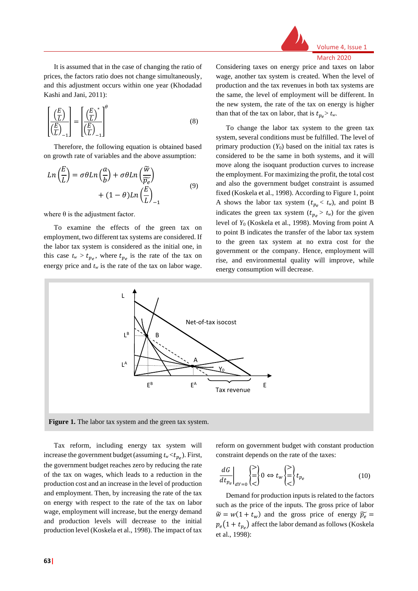

It is assumed that in the case of changing the ratio of prices, the factors ratio does not change simultaneously, and this adjustment occurs within one year (Khodadad Kashi and Jani, 2011):

$$
\left[\frac{\left(\frac{E}{L}\right)}{\left(\frac{E}{L}\right)_{-1}}\right] = \left[\frac{\left(\frac{E}{L}\right)^{*}}{\left(\frac{E}{L}\right)_{-1}}\right]^{\theta} \tag{8}
$$

Therefore, the following equation is obtained based on growth rate of variables and the above assumption:

$$
Ln\left(\frac{E}{L}\right) = \sigma \theta Ln\left(\frac{a}{b}\right) + \sigma \theta Ln\left(\frac{\widetilde{w}}{\widetilde{p_e}}\right) + (1 - \theta) Ln\left(\frac{E}{L}\right)_{-1}
$$
\n(9)

where  $\theta$  is the adjustment factor.

To examine the effects of the green tax on employment, two different tax systems are considered. If the labor tax system is considered as the initial one, in this case  $t_w > t_{pe}$ , where  $t_{pe}$  is the rate of the tax on energy price and  $t_w$  is the rate of the tax on labor wage.

Considering taxes on energy price and taxes on labor wage, another tax system is created. When the level of production and the tax revenues in both tax systems are the same, the level of employment will be different. In the new system, the rate of the tax on energy is higher than that of the tax on labor, that is  $t_{pe} > t_w$ .

To change the labor tax system to the green tax system, several conditions must be fulfilled. The level of primary production  $(Y_0)$  based on the initial tax rates is considered to be the same in both systems, and it will move along the isoquant production curves to increase the employment. For maximizing the profit, the total cost and also the government budget constraint is assumed fixed (Koskela et al., 1998). According to Figure 1, point A shows the labor tax system  $(t_{pe} < t_w)$ , and point B indicates the green tax system  $(t_{pe} > t_w)$  for the given level of *Y*<sup>0</sup> (Koskela et al., 1998). Moving from point A to point B indicates the transfer of the labor tax system to the green tax system at no extra cost for the government or the company. Hence, employment will rise, and environmental quality will improve, while energy consumption will decrease.



Tax reform, including energy tax system will increase the government budget (assuming  $t_w < t_{p_e}$ ). First, the government budget reaches zero by reducing the rate of the tax on wages, which leads to a reduction in the production cost and an increase in the level of production and employment. Then, by increasing the rate of the tax on energy with respect to the rate of the tax on labor wage, employment will increase, but the energy demand and production levels will decrease to the initial production level (Koskela et al., 1998). The impact of tax

reform on government budget with constant production constraint depends on the rate of the taxes:

$$
\left. \frac{dG}{dt_{p_e}} \right|_{dY=0} \begin{Bmatrix} > \\ = \\ < \end{Bmatrix} 0 \Leftrightarrow t_w \begin{Bmatrix} > \\ = \\ < \end{Bmatrix} t_{p_e} \tag{10}
$$

Demand for production inputs is related to the factors such as the price of the inputs. The gross price of labor  $\widetilde{w} = w(1 + t_w)$  and the gross price of energy  $\widetilde{p_e} =$  $p_e(1 + t_{p_e})$  affect the labor demand as follows (Koskela et al., 1998):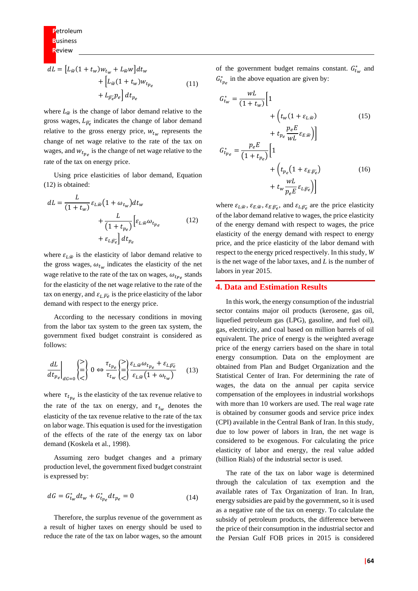$$
dL = \left[L_{\tilde{w}}(1 + t_w)w_{t_w} + L_{\tilde{w}}w\right]dt_w
$$

$$
+ \left[L_{\tilde{w}}(1 + t_w)w_{t_{p_e}}\right]
$$

$$
+ L_{\tilde{p_e}}p_e\right]dt_{p_e}
$$
(11)

where  $L_{\tilde{w}}$  is the change of labor demand relative to the gross wages,  $L_{\widetilde{p_e}}$  indicates the change of labor demand relative to the gross energy price,  $w_{t_w}$  represents the change of net wage relative to the rate of the tax on wages, and  $w_{t_{pe}}$  is the change of net wage relative to the rate of the tax on energy price.

Using price elasticities of labor demand, Equation (12) is obtained:

$$
dL = \frac{L}{(1+t_w)} \varepsilon_{L,\widetilde{w}} \left(1+\omega_{t_w}\right) dt_w
$$

$$
+ \frac{L}{\left(1+t_{p_e}\right)} \left[\varepsilon_{L,\widetilde{w}} \omega_{t_{p_e}}\right]
$$

$$
+ \varepsilon_{L,\widetilde{p_e}} \left| dt_{p_e} \right]
$$
(12)

where  $\varepsilon_{L,\widetilde{w}}$  is the elasticity of labor demand relative to the gross wages,  $\omega_{t_w}$  indicates the elasticity of the net wage relative to the rate of the tax on wages,  $\omega_{t_{p,q}}$  stands for the elasticity of the net wage relative to the rate of the tax on energy, and  $\varepsilon_L \bar{p}_e$  is the price elasticity of the labor demand with respect to the energy price.

According to the necessary conditions in moving from the labor tax system to the green tax system, the government fixed budget constraint is considered as follows:

$$
\left. \frac{dL}{dt_{p_e}} \right|_{dG=0} \begin{pmatrix} > \\ \equiv \\ < \end{pmatrix} 0 \Leftrightarrow \frac{\tau_{t_{p_e}}}{\tau_{t_w}} \begin{pmatrix} > \\ \equiv \\ < \end{pmatrix} \frac{\varepsilon_{L,\widetilde{w}} \omega_{t_{p_e}} + \varepsilon_{L,\widetilde{p_e}}}{\varepsilon_{L,\widetilde{w}} \left( 1 + \omega_{t_w} \right)} \tag{13}
$$

where  $\tau_{t_{pe}}$  is the elasticity of the tax revenue relative to the rate of the tax on energy, and  $\tau_{t_w}$  denotes the elasticity of the tax revenue relative to the rate of the tax on labor wage. This equation is used for the investigation of the effects of the rate of the energy tax on labor demand (Koskela et al., 1998).

Assuming zero budget changes and a primary production level, the government fixed budget constraint is expressed by:

$$
dG = G_{t_w}^* dt_w + G_{t_{pe}}^* dt_{p_e} = 0
$$
\n(14)

Therefore, the surplus revenue of the government as a result of higher taxes on energy should be used to reduce the rate of the tax on labor wages, so the amount of the government budget remains constant.  $G_{t_w}^*$  and  $G_{t_{pe}}^{*}$  in the above equation are given by:

$$
G_{t_{w}}^{*} = \frac{wL}{(1 + t_{w})} \Big[ 1 + \Big( t_{w} (1 + \varepsilon_{L, \tilde{w}}) + t_{p_{e}} \frac{p_{e} E}{wL} \varepsilon_{E, \tilde{w}} \Big) \Big]
$$
\n
$$
G_{t_{p_{e}}}^{*} = \frac{p_{e} E}{(1 + t_{p_{e}})} \Big[ 1 + \Big( t_{p_{e}} (1 + \varepsilon_{E, \widetilde{p_{e}}}) + t_{w} \frac{wL}{p_{e} E} \varepsilon_{L, \widetilde{p_{e}}} \Big) \Big]
$$
\n(16)

where  $\varepsilon_{L,\tilde{w}}, \varepsilon_{E,\tilde{w}}, \varepsilon_{E,\widetilde{p_e}},$  and  $\varepsilon_{L,\widetilde{p_e}}$  are the price elasticity of the labor demand relative to wages, the price elasticity of the energy demand with respect to wages, the price elasticity of the energy demand with respect to energy price, and the price elasticity of the labor demand with respect to the energy priced respectively. In this study, *W* is the net wage of the labor taxes, and *L* is the number of labors in year 2015.

#### **4. Data and Estimation Results**

In this work, the energy consumption of the industrial sector contains major oil products (kerosene, gas oil, liquefied petroleum gas (LPG), gasoline, and fuel oil), gas, electricity, and coal based on million barrels of oil equivalent. The price of energy is the weighted average price of the energy carriers based on the share in total energy consumption. Data on the employment are obtained from Plan and Budget Organization and the Statistical Center of Iran. For determining the rate of wages, the data on the annual per capita service compensation of the employees in industrial workshops with more than 10 workers are used. The real wage rate is obtained by consumer goods and service price index (CPI) available in the Central Bank of Iran. In this study, due to low power of labors in Iran, the net wage is considered to be exogenous. For calculating the price elasticity of labor and energy, the real value added (billion Rials) of the industrial sector is used.

The rate of the tax on labor wage is determined through the calculation of tax exemption and the available rates of Tax Organization of Iran. In Iran, energy subsidies are paid by the government, so it is used as a negative rate of the tax on energy. To calculate the subsidy of petroleum products, the difference between the price of their consumption in the industrial sector and the Persian Gulf FOB prices in 2015 is considered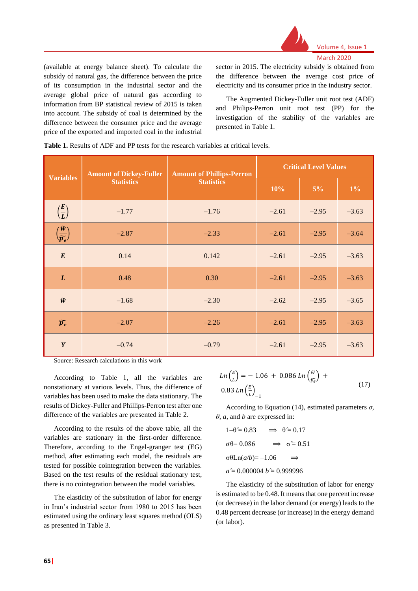

(available at energy balance sheet). To calculate the subsidy of natural gas, the difference between the price of its consumption in the industrial sector and the average global price of natural gas according to information from BP statistical review of 2015 is taken into account. The subsidy of coal is determined by the difference between the consumer price and the average price of the exported and imported coal in the industrial sector in 2015. The electricity subsidy is obtained from the difference between the average cost price of electricity and its consumer price in the industry sector.

The Augmented Dickey-Fuller unit root test (ADF) and Philips-Perron unit root test (PP) for the investigation of the stability of the variables are presented in Table 1.

|  |  |  |  |  | <b>Table 1.</b> Results of ADF and PP tests for the research variables at critical levels. |
|--|--|--|--|--|--------------------------------------------------------------------------------------------|
|--|--|--|--|--|--------------------------------------------------------------------------------------------|

|                                                      | <b>Amount of Dickey-Fuller</b>         | <b>Amount of Phillips-Perron</b> | <b>Critical Level Values</b> |         |         |  |
|------------------------------------------------------|----------------------------------------|----------------------------------|------------------------------|---------|---------|--|
| <b>Variables</b>                                     | <b>Statistics</b><br><b>Statistics</b> |                                  | 10%                          | $5\%$   | $1\%$   |  |
| $\left(\frac{E}{L}\right)$                           | $-1.77$                                | $-1.76$                          | $-2.61$                      | $-2.95$ | $-3.63$ |  |
| $\left(\frac{\widetilde{w}}{\widetilde{p_e}}\right)$ | $-2.87$                                | $-2.33$                          | $-2.61$                      | $-2.95$ | $-3.64$ |  |
| E                                                    | 0.14                                   | 0.142                            | $-2.61$                      | $-2.95$ | $-3.63$ |  |
| L                                                    | 0.48                                   | 0.30                             | $-2.61$                      | $-2.95$ | $-3.63$ |  |
| $\widetilde{w}$                                      | $-1.68$                                | $-2.30$                          | $-2.62$                      | $-2.95$ | $-3.65$ |  |
| $\widetilde{p_e}$                                    | $-2.07$                                | $-2.26$                          | $-2.61$                      | $-2.95$ | $-3.63$ |  |
| Y                                                    | $-0.74$                                | $-0.79$                          | $-2.61$                      | $-2.95$ | $-3.63$ |  |

Source: Research calculations in this work

According to Table 1, all the variables are nonstationary at various levels. Thus, the difference of variables has been used to make the data stationary. The results of Dickey-Fuller and Phillips-Perron test after one difference of the variables are presented in Table 2.

According to the results of the above table, all the variables are stationary in the first-order difference. Therefore, according to the Engel-granger test (EG) method, after estimating each model, the residuals are tested for possible cointegration between the variables. Based on the test results of the residual stationary test, there is no cointegration between the model variables.

The elasticity of the substitution of labor for energy in Iran's industrial sector from 1980 to 2015 has been estimated using the ordinary least squares method (OLS) as presented in Table 3.

$$
Ln\left(\frac{E}{L}\right) = -1.06 + 0.086 Ln\left(\frac{\tilde{w}}{\tilde{p_e}}\right) +
$$
  
0.83 Ln  $\left(\frac{E}{L}\right)_{-1}$  (17)

According to Equation (14), estimated parameters  $\sigma$ , *θ*, *a*, and *b* are expressed in:

 $1-\theta \approx 0.83 \implies \theta \approx 0.17$  $\sigma \theta = 0.086 \implies \sigma \approx 0.51$  $σθLn(a/b)=-1.06$ *a* ̂= 0.000004 *b* ̂= 0.999996

The elasticity of the substitution of labor for energy is estimated to be 0.48. It means that one percent increase (or decrease) in the labor demand (or energy) leads to the 0.48 percent decrease (or increase) in the energy demand (or labor).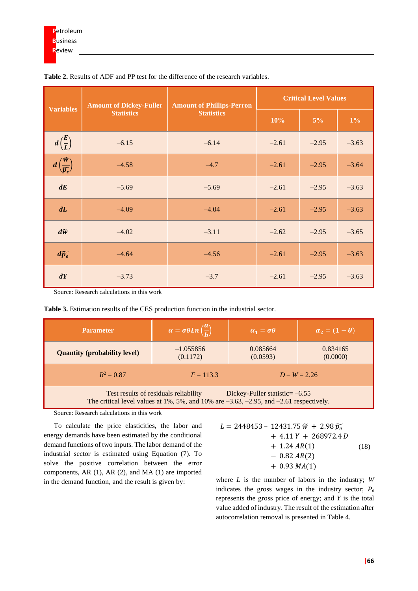|                                                       | <b>Amount of Dickey-Fuller</b> | <b>Amount of Phillips-Perron</b> | <b>Critical Level Values</b> |         |         |  |
|-------------------------------------------------------|--------------------------------|----------------------------------|------------------------------|---------|---------|--|
| <b>Variables</b><br><b>Statistics</b>                 |                                | <b>Statistics</b>                | 10%                          | $5\%$   | $1\%$   |  |
| $d\left(\frac{E}{L}\right)$                           | $-6.15$                        | $-6.14$                          | $-2.61$                      | $-2.95$ | $-3.63$ |  |
| $d\left(\frac{\widetilde{w}}{\widetilde{p_e}}\right)$ | $-4.58$                        | $-4.7$                           | $-2.61$                      | $-2.95$ | $-3.64$ |  |
| dE                                                    | $-5.69$                        | $-5.69$                          | $-2.61$                      | $-2.95$ | $-3.63$ |  |
| dL                                                    | $-4.09$                        | $-4.04$                          | $-2.61$                      | $-2.95$ | $-3.63$ |  |
| $d\widetilde{w}$                                      | $-4.02$                        | $-3.11$                          | $-2.62$                      | $-2.95$ | $-3.65$ |  |
| $d\widetilde{p_e}$                                    | $-4.64$                        | $-4.56$                          | $-2.61$                      | $-2.95$ | $-3.63$ |  |
| dY                                                    | $-3.73$                        | $-3.7$                           | $-2.61$                      | $-2.95$ | $-3.63$ |  |

**Table 2.** Results of ADF and PP test for the difference of the research variables.

Source: Research calculations in this work

| <b>Table 3.</b> Estimation results of the CES production function in the industrial sector. |  |
|---------------------------------------------------------------------------------------------|--|
|---------------------------------------------------------------------------------------------|--|

| <b>Parameter</b>                                                                                                                                                                   | $\alpha = \sigma \theta Ln\left(\frac{a}{b}\right)$ | $\alpha_1 = \sigma \theta$ | $\alpha_2 = (1-\theta)$ |  |  |
|------------------------------------------------------------------------------------------------------------------------------------------------------------------------------------|-----------------------------------------------------|----------------------------|-------------------------|--|--|
| <b>Quantity (probability level)</b>                                                                                                                                                | $-1.055856$<br>(0.1172)                             | 0.085664<br>(0.0593)       | 0.834165<br>(0.0000)    |  |  |
| $R^2 = 0.87$                                                                                                                                                                       | $F = 113.3$                                         |                            | $D - W = 2.26$          |  |  |
| Test results of residuals reliability<br>Dickey-Fuller statistic= $-6.55$<br>The critical level values at $1\%$ , 5%, and $10\%$ are $-3.63$ , $-2.95$ , and $-2.61$ respectively. |                                                     |                            |                         |  |  |

Source: Research calculations in this work

To calculate the price elasticities, the labor and energy demands have been estimated by the conditional demand functions of two inputs. The labor demand of the industrial sector is estimated using Equation (7). To solve the positive correlation between the error components, AR (1), AR (2), and MA (1) are imported in the demand function, and the result is given by:

| $L = 2448453 - 12431.75 \,\tilde{w} + 2.98 \,\tilde{p}_e$ |      |
|-----------------------------------------------------------|------|
| $+$ 4.11 Y + 268972.4 D                                   |      |
| $+ 1.24 AR(1)$                                            | (18) |
| $-0.82 AR(2)$                                             |      |
| $+ 0.93 MA(1)$                                            |      |

where *L* is the number of labors in the industry; *W* indicates the gross wages in the industry sector;  $P_e$ represents the gross price of energy; and *Y* is the total value added of industry. The result of the estimation after autocorrelation removal is presented in Table 4.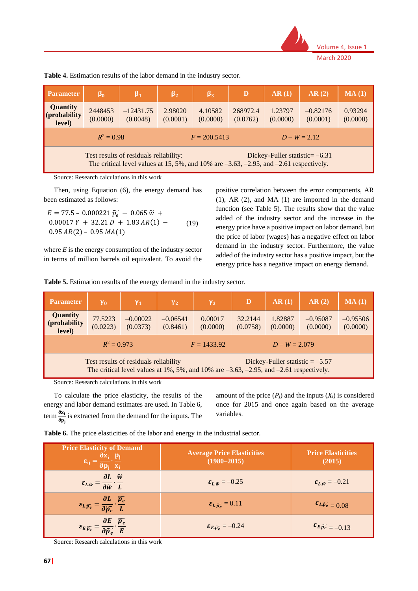

| <b>Parameter</b>                                                                                                                                                             | $\beta_0$           | $\beta_1$               | $\beta_2$           | $\beta_3$           | D                    | AR(1)               | AR(2)                  | MA(1)               |
|------------------------------------------------------------------------------------------------------------------------------------------------------------------------------|---------------------|-------------------------|---------------------|---------------------|----------------------|---------------------|------------------------|---------------------|
| <b>Quantity</b><br>$ $ (probability<br>level)                                                                                                                                | 2448453<br>(0.0000) | $-12431.75$<br>(0.0048) | 2.98020<br>(0.0001) | 4.10582<br>(0.0000) | 268972.4<br>(0.0762) | 1.23797<br>(0.0000) | $-0.82176$<br>(0.0001) | 0.93294<br>(0.0000) |
| $R^2 = 0.98$<br>$D - W = 2.12$<br>$F = 200.5413$                                                                                                                             |                     |                         |                     |                     |                      |                     |                        |                     |
| Test results of residuals reliability:<br>Dickey-Fuller statistic= $-6.31$<br>The critical level values at 15, 5%, and 10% are $-3.63$ , $-2.95$ , and $-2.61$ respectively. |                     |                         |                     |                     |                      |                     |                        |                     |

**Table 4.** Estimation results of the labor demand in the industry sector.

Source: Research calculations in this work

Then, using Equation (6), the energy demand has been estimated as follows:

 $E = 77.5 - 0.000221 \widetilde{p}_{e} - 0.065 \widetilde{w} +$  $0.00017 Y + 32.21 D + 1.83 AR(1) 0.95 AR(2) - 0.95 MA(1)$ (19)

where *E* is the energy consumption of the industry sector in terms of million barrels oil equivalent. To avoid the

positive correlation between the error components, AR (1), AR (2), and MA (1) are imported in the demand function (see Table 5). The results show that the value added of the industry sector and the increase in the energy price have a positive impact on labor demand, but the price of labor (wages) has a negative effect on labor demand in the industry sector. Furthermore, the value added of the industry sector has a positive impact, but the energy price has a negative impact on energy demand.

**Table 5.** Estimation results of the energy demand in the industry sector.

| <b>Parameter</b>                                                                                                                                                                    | Y <sub>0</sub>      | $\gamma_1$             | $\gamma_2$             | $\gamma_3$          | D                   | AR(1)               | AR(2)                  | MA(1)                  |
|-------------------------------------------------------------------------------------------------------------------------------------------------------------------------------------|---------------------|------------------------|------------------------|---------------------|---------------------|---------------------|------------------------|------------------------|
| <b>Quantity</b><br>(probability<br>level)                                                                                                                                           | 77.5223<br>(0.0223) | $-0.00022$<br>(0.0373) | $-0.06541$<br>(0.8461) | 0.00017<br>(0.0000) | 32.2144<br>(0.0758) | 1.82887<br>(0.0000) | $-0.95087$<br>(0.0000) | $-0.95506$<br>(0.0000) |
| $R^2 = 0.973$<br>$F = 1433.92$<br>$D - W = 2.079$                                                                                                                                   |                     |                        |                        |                     |                     |                     |                        |                        |
| Test results of residuals reliability<br>Dickey-Fuller statistic $= -5.57$<br>The critical level values at $1\%$ , 5%, and $10\%$ are $-3.63$ , $-2.95$ , and $-2.61$ respectively. |                     |                        |                        |                     |                     |                     |                        |                        |

Source: Research calculations in this work

To calculate the price elasticity, the results of the energy and labor demand estimates are used. In Table 6, term  $\frac{\partial x_i}{\partial x_i}$  $\frac{\delta x_i}{\delta p_j}$  is extracted from the demand for the inputs. The amount of the price  $(P_j)$  and the inputs  $(X_i)$  is considered once for 2015 and once again based on the average variables.

|  |  |  |  | Table 6. The price elasticities of the labor and energy in the industrial sector. |
|--|--|--|--|-----------------------------------------------------------------------------------|
|--|--|--|--|-----------------------------------------------------------------------------------|

| <b>Price Elasticity of Demand</b><br>$\partial x_i$ $p_i$<br>$\varepsilon_{ij} = \frac{\partial}{\partial p_i} x_i$        | <b>Average Price Elasticities</b><br>$(1980 - 2015)$ | <b>Price Elasticities</b><br>(2015)                       |
|----------------------------------------------------------------------------------------------------------------------------|------------------------------------------------------|-----------------------------------------------------------|
| $\varepsilon_{L,\widetilde{w}} = \frac{\partial L}{\partial \widetilde{w}} \cdot \frac{\widetilde{w}}{L}$                  | $\epsilon_{L\widetilde{w}} = -0.25$                  | $\mathbf{\varepsilon}_{L,\widetilde{\mathbf{w}}} = -0.21$ |
| $\mathcal{E}_{L,\widetilde{p_e}} = \frac{\partial L}{\partial \widetilde{p_e}} \cdot \frac{\widetilde{p_e}}{L}$            | $\mathcal{E}_{L, \widetilde{p_e}} = 0.11$            | $\mathcal{E}_L \widetilde{p_e} = 0.08$                    |
| $\label{eq:11} \varepsilon_{E,\widetilde{p_e}}=\frac{\partial E}{\partial \widetilde{p_e}}\cdot \frac{\widetilde{p_e}}{E}$ | $\mathcal{E}_{E,\widetilde{p_e}} = -0.24$            | $\mathcal{E}_{E \cdot \widetilde{p_e}} = -0.13$           |

Source: Research calculations in this work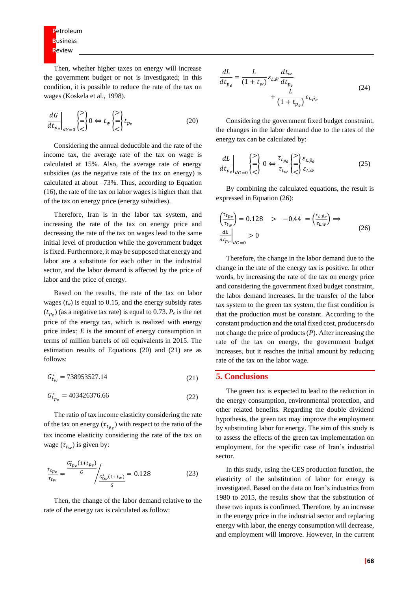**P**etroleum **B**usiness **R**eview

Then, whether higher taxes on energy will increase the government budget or not is investigated; in this condition, it is possible to reduce the rate of the tax on wages (Koskela et al., 1998).

$$
\left. \frac{dG}{dt_{p_e}} \right|_{dY=0} \begin{cases} \ge \\ \ge \\ \le \end{cases} 0 \Leftrightarrow t_w \begin{cases} \ge \\ = \\ \le \end{cases} t_{p_e} \tag{20}
$$

Considering the annual deductible and the rate of the income tax, the average rate of the tax on wage is calculated at 15%. Also, the average rate of energy subsidies (as the negative rate of the tax on energy) is calculated at about –73%. Thus, according to Equation (16), the rate of the tax on labor wages is higher than that of the tax on energy price (energy subsidies).

Therefore, Iran is in the labor tax system, and increasing the rate of the tax on energy price and decreasing the rate of the tax on wages lead to the same initial level of production while the government budget is fixed. Furthermore, it may be supposed that energy and labor are a substitute for each other in the industrial sector, and the labor demand is affected by the price of labor and the price of energy.

Based on the results, the rate of the tax on labor wages  $(t_w)$  is equal to 0.15, and the energy subsidy rates  $(t_{p_e})$  (as a negative tax rate) is equal to 0.73.  $P_e$  is the net price of the energy tax, which is realized with energy price index; *E* is the amount of energy consumption in terms of million barrels of oil equivalents in 2015. The estimation results of Equations (20) and (21) are as follows:

$$
G_{t_w}^* = 738953527.14\tag{21}
$$

$$
G_{t_{p_e}}^* = 403426376.66\tag{22}
$$

The ratio of tax income elasticity considering the rate of the tax on energy  $(\tau_{t_{p_e}})$  with respect to the ratio of the tax income elasticity considering the rate of the tax on wage  $(\tau_{t_w})$  is given by:

$$
\frac{\tau_{t_{p_e}}}{\tau_{t_w}} = \frac{\frac{G_{t_{p_e}}^*(1+t_{p_e})}{G}}{\frac{G_{t_w}^*(1+t_w)}{G}} = 0.128
$$
\n(23)

Then, the change of the labor demand relative to the rate of the energy tax is calculated as follow:

$$
\frac{dL}{dt_{pe}} = \frac{L}{(1+t_w)} \varepsilon_{L.\widetilde{w}} \frac{dt_w}{dt_{p_e}} + \frac{L}{(1+t_{p_e})} \varepsilon_{L.\widetilde{p_e}}
$$
\n(24)

Considering the government fixed budget constraint, the changes in the labor demand due to the rates of the energy tax can be calculated by:

$$
\left. \frac{dL}{dt_{pe}} \right|_{dG=0} \begin{pmatrix} > \\ = \\ < \end{pmatrix} 0 \Leftrightarrow \frac{\tau_{t_{pe}}}{\tau_{t_w}} \begin{pmatrix} > \\ = \\ < \end{pmatrix} \frac{\varepsilon_{L,\widetilde{p_e}}}{\varepsilon_{L,\widetilde{w}}} \tag{25}
$$

By combining the calculated equations, the result is expressed in Equation (26):

$$
\begin{aligned}\n\left(\frac{\tau_{t_{p_e}}}{\tau_{t_w}}\right) &= 0.128 &> -0.44 = \left(\frac{\varepsilon_{L,\widetilde{p_e}}}{\varepsilon_{L,\widetilde{w}}}\right) \Rightarrow \\
\left.\frac{dL}{dt_{p_e}}\right|_{dG=0} &> 0\n\end{aligned} \tag{26}
$$

Therefore, the change in the labor demand due to the change in the rate of the energy tax is positive. In other words, by increasing the rate of the tax on energy price and considering the government fixed budget constraint, the labor demand increases. In the transfer of the labor tax system to the green tax system, the first condition is that the production must be constant. According to the constant production and the total fixed cost, producers do not change the price of products (*P*). After increasing the rate of the tax on energy, the government budget increases, but it reaches the initial amount by reducing rate of the tax on the labor wage.

#### **5. Conclusions**

The green tax is expected to lead to the reduction in the energy consumption, environmental protection, and other related benefits. Regarding the double dividend hypothesis, the green tax may improve the employment by substituting labor for energy. The aim of this study is to assess the effects of the green tax implementation on employment, for the specific case of Iran's industrial sector.

In this study, using the CES production function, the elasticity of the substitution of labor for energy is investigated. Based on the data on Iran's industries from 1980 to 2015, the results show that the substitution of these two inputs is confirmed. Therefore, by an increase in the energy price in the industrial sector and replacing energy with labor, the energy consumption will decrease, and employment will improve. However, in the current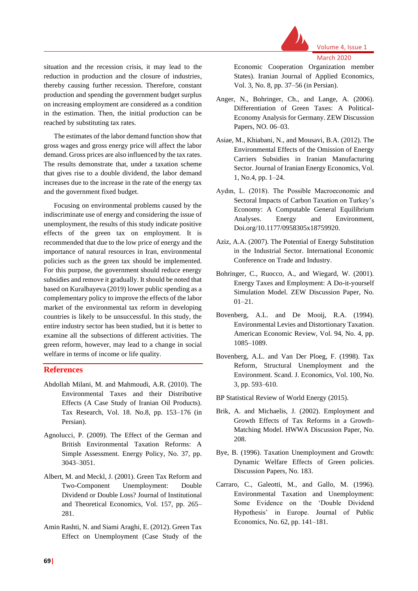

March 2020

Volume 4, Issue 1

situation and the recession crisis, it may lead to the reduction in production and the closure of industries, thereby causing further recession. Therefore, constant production and spending the government budget surplus on increasing employment are considered as a condition in the estimation. Then, the initial production can be reached by substituting tax rates.

The estimates of the labor demand function show that gross wages and gross energy price will affect the labor demand. Gross prices are also influenced by the tax rates. The results demonstrate that, under a taxation scheme that gives rise to a double dividend, the labor demand increases due to the increase in the rate of the energy tax and the government fixed budget.

Focusing on environmental problems caused by the indiscriminate use of energy and considering the issue of unemployment, the results of this study indicate positive effects of the green tax on employment. It is recommended that due to the low price of energy and the importance of natural resources in Iran, environmental policies such as the green tax should be implemented. For this purpose, the government should reduce energy subsidies and remove it gradually. It should be noted that based on Kuralbayeva (2019) lower public spending as a complementary policy to improve the effects of the labor market of the environmental tax reform in developing countries is likely to be unsuccessful. In this study, the entire industry sector has been studied, but it is better to examine all the subsections of different activities. The green reform, however, may lead to a change in social welfare in terms of income or life quality.

#### **References**

- Abdollah Milani, M. and Mahmoudi, A.R. (2010). The Environmental Taxes and their Distributive Effects (A Case Study of Iranian Oil Products). Tax Research, Vol. 18. No.8, pp. 153–176 (in Persian).
- Agnolucci, P. (2009). The Effect of the German and British Environmental Taxation Reforms: A Simple Assessment. Energy Policy, No. 37, pp. 3043–3051.
- Albert, M. and Meckl, J. (2001). Green Tax Reform and Two-Component Unemployment: Double Dividend or Double Loss? Journal of Institutional and Theoretical Economics, Vol. 157, pp. 265– 281.
- Amin Rashti, N. and Siami Araghi, E. (2012). Green Tax Effect on Unemployment (Case Study of the

Economic Cooperation Organization member States). Iranian Journal of Applied Economics, Vol. 3, No. 8, pp. 37–56 (in Persian).

- Anger, N., Bohringer, Ch., and Lange, A. (2006). Differentiation of Green Taxes: A Political-Economy Analysis for Germany. ZEW Discussion Papers, NO. 06–03.
- Asiae, M., Khiabani, N., and Mousavi, B.A. (2012). The Environmental Effects of the Omission of Energy Carriers Subsidies in Iranian Manufacturing Sector. Journal of Iranian Energy Economics, Vol. 1, No.4, pp. 1–24.
- Aydın, L. (2018). The Possible Macroeconomic and Sectoral Impacts of Carbon Taxation on Turkey's Economy: A Computable General Equilibrium Analyses. Energy and Environment, Doi.org/10.1177/0958305x18759920.
- Aziz, A.A. (2007). The Potential of Energy Substitution in the Industrial Sector. International Economic Conference on Trade and Industry.
- Bohringer, C., Ruocco, A., and Wiegard, W. (2001). Energy Taxes and Employment: A Do-it-yourself Simulation Model. ZEW Discussion Paper, No. 01–21.
- Bovenberg, A.L. and De Mooij, R.A. (1994). Environmental Levies and Distortionary Taxation. American Economic Review, Vol. 94, No. 4, pp. 1085–1089.
- Bovenberg, A.L. and Van Der Ploeg, F. (1998). Tax Reform, Structural Unemployment and the Environment. Scand. J. Economics, Vol. 100, No. 3, pp. 593–610.
- BP Statistical Review of World Energy (2015).
- Brik, A. and Michaelis, J. (2002). Employment and Growth Effects of Tax Reforms in a Growth-Matching Model. HWWA Discussion Paper, No. 208.
- Bye, B. (1996). Taxation Unemployment and Growth: Dynamic Welfare Effects of Green policies. Discussion Papers, No. 183.
- Carraro, C., Galeotti, M., and Gallo, M. (1996). Environmental Taxation and Unemployment: Some Evidence on the 'Double Dividend Hypothesis' in Europe. Journal of Public Economics, No. 62, pp. 141–181.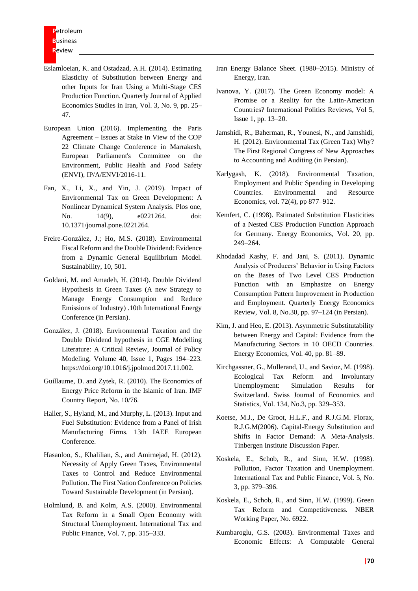- Eslamloeian, K. and Ostadzad, A.H. (2014). Estimating Elasticity of Substitution between Energy and other Inputs for Iran Using a Multi-Stage CES Production Function. Quarterly Journal of Applied Economics Studies in Iran, Vol. 3, No. 9, pp. 25– 47.
- European Union (2016). Implementing the Paris Agreement – Issues at Stake in View of the COP 22 Climate Change Conference in Marrakesh, European Parliament's Committee on the Environment, Public Health and Food Safety (ENVI), IP/A/ENVI/2016-11.
- Fan, X., Li, X., and Yin, J. (2019). Impact of Environmental Tax on Green Development: A Nonlinear Dynamical System Analysis. Plos one, No. 14(9), e0221264. doi: 10.1371/journal.pone.0221264.
- Freire-González, J.; Ho, M.S. (2018). Environmental Fiscal Reform and the Double Dividend: Evidence from a Dynamic General Equilibrium Model. Sustainability, 10, 501.
- Goldani, M. and Amadeh, H. (2014). Double Dividend Hypothesis in Green Taxes (A new Strategy to Manage Energy Consumption and Reduce Emissions of Industry) .10th International Energy Conference (in Persian).
- González, J. (2018). Environmental Taxation and the Double Dividend hypothesis in CGE Modelling Literature: A Critical Review, Journal of Policy Modeling, Volume 40, Issue 1, Pages 194–223. https://doi.org/10.1016/j.jpolmod.2017.11.002.
- Guillaume, D. and Zytek, R. (2010). The Economics of Energy Price Reform in the Islamic of Iran. IMF Country Report, No. 10/76.
- Haller, S., Hyland, M., and Murphy, L. (2013). Input and Fuel Substitution: Evidence from a Panel of Irish Manufacturing Firms. 13th IAEE European Conference.
- Hasanloo, S., Khalilian, S., and Amirnejad, H. (2012). Necessity of Apply Green Taxes, Environmental Taxes to Control and Reduce Environmental Pollution. The First Nation Conference on Policies Toward Sustainable Development (in Persian).
- Holmlund, B. and Kolm, A.S. (2000). Environmental Tax Reform in a Small Open Economy with Structural Unemployment. International Tax and Public Finance, Vol. 7, pp. 315–333.
- Iran Energy Balance Sheet. (1980–2015). Ministry of Energy, Iran.
- Ivanova, Y. (2017). The Green Economy model: A Promise or a Reality for the Latin-American Countries? International Politics Reviews, Vol 5, Issue 1, pp. 13–20.
- Jamshidi, R., Baherman, R., Younesi, N., and Jamshidi, H. (2012). Environmental Tax (Green Tax) Why? The First Regional Congress of New Approaches to Accounting and Auditing (in Persian).
- Karlygash, K. (2018). Environmental Taxation, Employment and Public Spending in Developing Countries. Environmental and Resource Economics, vol. 72(4), pp 877–912.
- Kemfert, C. (1998). Estimated Substitution Elasticities of a Nested CES Production Function Approach for Germany. Energy Economics, Vol. 20, pp. 249–264.
- Khodadad Kashy, F. and Jani, S. (2011). Dynamic Analysis of Producers' Behavior in Using Factors on the Bases of Two Level CES Production Function with an Emphasize on Energy Consumption Pattern Improvement in Production and Employment. Quarterly Energy Economics Review, Vol. 8, No.30, pp. 97–124 (in Persian).
- Kim, J. and Heo, E. (2013). Asymmetric Substitutability between Energy and Capital: Evidence from the Manufacturing Sectors in 10 OECD Countries. Energy Economics, Vol. 40, pp. 81–89.
- Kirchgassner, G., Mullerand, U., and Savioz, M. (1998). Ecological Tax Reform and Involuntary Unemployment: Simulation Results for Switzerland. Swiss Journal of Economics and Statistics, Vol. 134, No.3, pp. 329–353.
- Koetse, M.J., De Groot, H.L.F., and R.J.G.M. Florax, R.J.G.M(2006). Capital-Energy Substitution and Shifts in Factor Demand: A Meta-Analysis. Tinbergen Institute Discussion Paper.
- Koskela, E., Schob, R., and Sinn, H.W. (1998). Pollution, Factor Taxation and Unemployment. International Tax and Public Finance, Vol. 5, No. 3, pp. 379–396.
- Koskela, E., Schob, R., and Sinn, H.W. (1999). Green Tax Reform and Competitiveness. NBER Working Paper, No. 6922.
- Kumbaroglu, G.S. (2003). Environmental Taxes and Economic Effects: A Computable General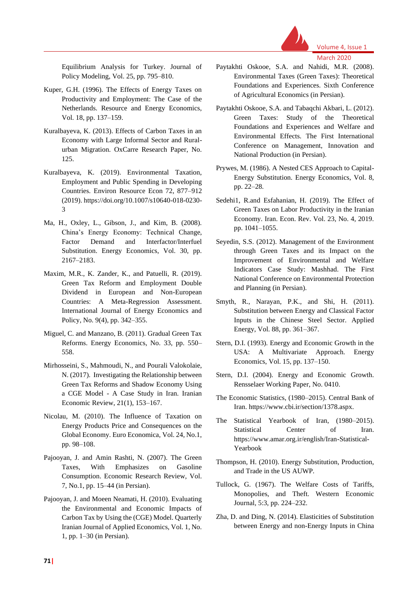

Equilibrium Analysis for Turkey. Journal of Policy Modeling, Vol. 25, pp. 795–810.

- Kuper, G.H. (1996). The Effects of Energy Taxes on Productivity and Employment: The Case of the Netherlands. Resource and Energy Economics, Vol. 18, pp. 137–159.
- Kuralbayeva, K. (2013). Effects of Carbon Taxes in an Economy with Large Informal Sector and Ruralurban Migration. OxCarre Research Paper, No. 125.
- Kuralbayeva, K. (2019). Environmental Taxation, Employment and Public Spending in Developing Countries. Environ Resource Econ 72, 877–912 (2019). https://doi.org/10.1007/s10640-018-0230- 3
- Ma, H., Oxley, L., Gibson, J., and Kim, B. (2008). China's Energy Economy: Technical Change, Factor Demand and Interfactor/Interfuel Substitution. Energy Economics, Vol. 30, pp. 2167–2183.
- Maxim, M.R., K. Zander, K., and Patuelli, R. (2019). Green Tax Reform and Employment Double Dividend in European and Non-European Countries: A Meta-Regression Assessment. International Journal of Energy Economics and Policy, No. 9(4), pp. 342–355.
- Miguel, C. and Manzano, B. (2011). Gradual Green Tax Reforms. Energy Economics, No. 33, pp. 550– 558.
- Mirhosseini, S., Mahmoudi, N., and Pourali Valokolaie, N. (2017). Investigating the Relationship between Green Tax Reforms and Shadow Economy Using a CGE Model - A Case Study in Iran. Iranian Economic Review, 21(1), 153–167.
- Nicolau, M. (2010). The Influence of Taxation on Energy Products Price and Consequences on the Global Economy. Euro Economica, Vol. 24, No.1, pp. 98–108.
- Pajooyan, J. and Amin Rashti, N. (2007). The Green Taxes, With Emphasizes on Gasoline Consumption. Economic Research Review, Vol. 7, No.1, pp. 15–44 (in Persian).
- Pajooyan, J. and Moeen Neamati, H. (2010). Evaluating the Environmental and Economic Impacts of Carbon Tax by Using the (CGE) Model. Quarterly Iranian Journal of Applied Economics, Vol. 1, No. 1, pp. 1–30 (in Persian).
- Paytakhti Oskooe, S.A. and Nahidi, M.R. (2008). Environmental Taxes (Green Taxes): Theoretical Foundations and Experiences. Sixth Conference of Agricultural Economics (in Persian).
- Paytakhti Oskooe, S.A. and Tabaqchi Akbari, L. (2012). Green Taxes: Study of the Theoretical Foundations and Experiences and Welfare and Environmental Effects. The First International Conference on Management, Innovation and National Production (in Persian).
- Prywes, M. (1986). A Nested CES Approach to Capital-Energy Substitution. Energy Economics, Vol. 8, pp. 22–28.
- Sedehi1, R.and Esfahanian, H. (2019). The Effect of Green Taxes on Labor Productivity in the Iranian Economy. Iran. Econ. Rev. Vol. 23, No. 4, 2019. pp. 1041–1055.
- Seyedin, S.S. (2012). Management of the Environment through Green Taxes and its Impact on the Improvement of Environmental and Welfare Indicators Case Study: Mashhad. The First National Conference on Environmental Protection and Planning (in Persian).
- Smyth, R., Narayan, P.K., and Shi, H. (2011). Substitution between Energy and Classical Factor Inputs in the Chinese Steel Sector. Applied Energy, Vol. 88, pp. 361–367.
- Stern, D.I. (1993). Energy and Economic Growth in the USA: A Multivariate Approach. Energy Economics, Vol. 15, pp. 137–150.
- Stern, D.I. (2004). Energy and Economic Growth. Rensselaer Working Paper, No. 0410.
- The Economic Statistics, (1980–2015). Central Bank of Iran. https://www.cbi.ir/section/1378.aspx.
- The Statistical Yearbook of Iran, (1980–2015). Statistical Center of Iran. https://www.amar.org.ir/english/Iran-Statistical-Yearbook
- Thompson, H. (2010). Energy Substitution, Production, and Trade in the US AUWP.
- Tullock, G. (1967). The Welfare Costs of Tariffs, Monopolies, and Theft. Western Economic Journal, 5:3, pp. 224–232.
- Zha, D. and Ding, N. (2014). Elasticities of Substitution between Energy and non-Energy Inputs in China